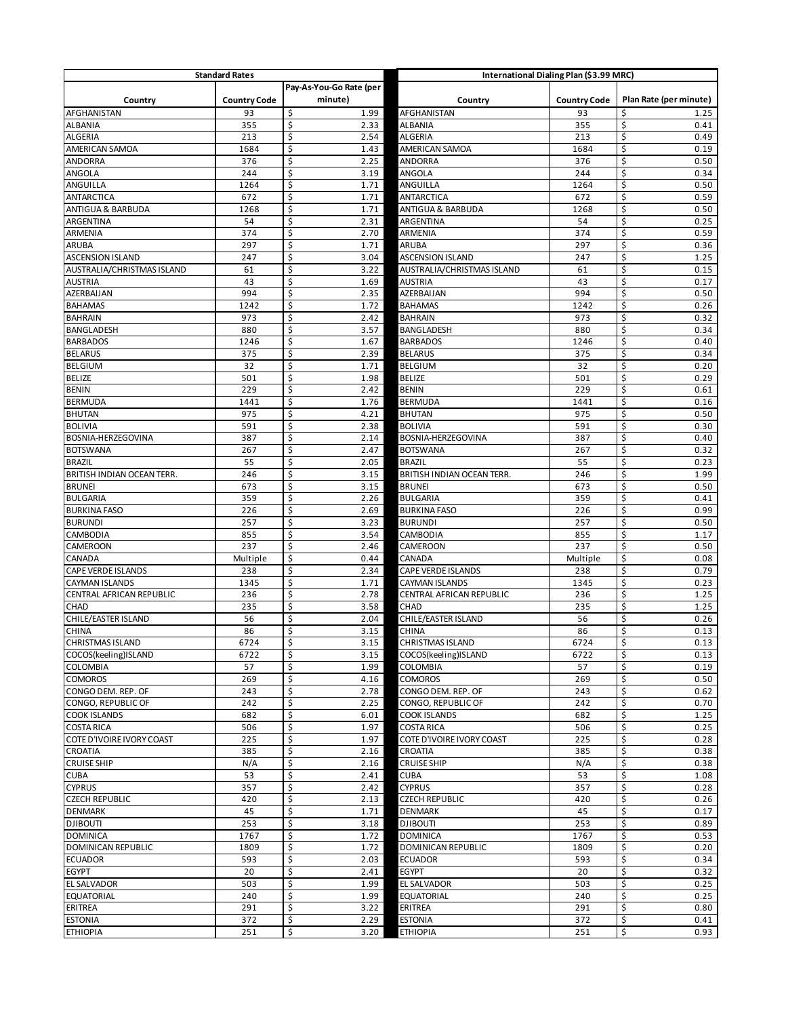| <b>Standard Rates</b>                 |                     |                         | International Dialing Plan (\$3.99 MRC) |                     |                        |  |
|---------------------------------------|---------------------|-------------------------|-----------------------------------------|---------------------|------------------------|--|
|                                       |                     | Pay-As-You-Go Rate (per |                                         |                     |                        |  |
| Country                               | <b>Country Code</b> | minute)                 | Country                                 | <b>Country Code</b> | Plan Rate (per minute) |  |
| AFGHANISTAN                           | 93                  | \$<br>1.99              | AFGHANISTAN                             | 93                  | \$<br>1.25             |  |
| ALBANIA                               | 355                 | \$<br>2.33              | <b>ALBANIA</b>                          | 355                 | \$<br>0.41             |  |
| ALGERIA                               | 213                 | \$<br>2.54              | ALGERIA                                 | 213                 | \$<br>0.49             |  |
| AMERICAN SAMOA                        | 1684                | \$<br>1.43              | AMERICAN SAMOA                          | 1684                | \$<br>0.19             |  |
| <b>ANDORRA</b>                        | 376                 | \$<br>2.25              | ANDORRA                                 | 376                 | \$<br>0.50             |  |
| ANGOLA                                | 244                 | \$<br>3.19              | ANGOLA                                  | 244                 | \$<br>0.34             |  |
| ANGUILLA                              | 1264                | \$<br>1.71              | ANGUILLA                                | 1264                | \$<br>0.50             |  |
| <b>ANTARCTICA</b>                     | 672                 | \$<br>1.71              | <b>ANTARCTICA</b>                       | 672                 | \$<br>0.59             |  |
| ANTIGUA & BARBUDA                     | 1268                | \$<br>1.71              | ANTIGUA & BARBUDA                       | 1268                | \$<br>0.50             |  |
| ARGENTINA                             | 54                  | \$<br>2.31              | ARGENTINA                               | 54                  | \$<br>0.25             |  |
| ARMENIA                               | 374                 | \$<br>2.70              | ARMENIA                                 | 374                 | \$<br>0.59             |  |
| ARUBA                                 | 297                 | \$<br>1.71              | ARUBA                                   | 297                 | \$<br>0.36             |  |
| <b>ASCENSION ISLAND</b>               | 247                 | \$<br>3.04              | <b>ASCENSION ISLAND</b>                 | 247                 | \$<br>1.25             |  |
| AUSTRALIA/CHRISTMAS ISLAND            | 61                  | \$<br>3.22              | AUSTRALIA/CHRISTMAS ISLAND              | 61                  | \$<br>0.15             |  |
| <b>AUSTRIA</b>                        | 43                  | \$<br>1.69              | <b>AUSTRIA</b>                          | 43                  | \$<br>0.17             |  |
| AZERBAIJAN                            | 994                 | \$<br>2.35              | AZERBAIJAN                              | 994                 | \$<br>0.50             |  |
| <b>BAHAMAS</b>                        | 1242                | \$<br>1.72              | <b>BAHAMAS</b>                          | 1242                | \$<br>0.26             |  |
| <b>BAHRAIN</b>                        | 973                 | \$<br>2.42              | <b>BAHRAIN</b>                          | 973                 | \$<br>0.32             |  |
| BANGLADESH                            | 880                 | \$<br>3.57              | BANGLADESH                              | 880                 | \$<br>0.34             |  |
| <b>BARBADOS</b>                       | 1246                | \$<br>1.67              | <b>BARBADOS</b>                         | 1246                | \$<br>0.40             |  |
| <b>BELARUS</b>                        | 375                 | \$<br>2.39              | <b>BELARUS</b>                          | 375                 | \$<br>0.34             |  |
| <b>BELGIUM</b>                        | 32                  | \$<br>1.71              | <b>BELGIUM</b>                          | 32                  | \$<br>0.20             |  |
| <b>BELIZE</b>                         | 501                 | \$<br>1.98              | <b>BELIZE</b>                           | 501                 | \$<br>0.29             |  |
| <b>BENIN</b>                          | 229                 | \$<br>2.42              | <b>BENIN</b>                            | 229                 | \$<br>0.61             |  |
| <b>BERMUDA</b>                        | 1441                | \$<br>1.76              | <b>BERMUDA</b>                          | 1441                | \$<br>0.16             |  |
| <b>BHUTAN</b>                         | 975                 | \$<br>4.21              | <b>BHUTAN</b>                           | 975                 | \$<br>0.50             |  |
| <b>BOLIVIA</b>                        | 591                 | \$<br>2.38              | <b>BOLIVIA</b>                          | 591                 | \$<br>0.30             |  |
| BOSNIA-HERZEGOVINA                    | 387                 | \$<br>2.14              | BOSNIA-HERZEGOVINA                      | 387                 | \$<br>0.40             |  |
| <b>BOTSWANA</b>                       | 267                 | \$<br>2.47              | <b>BOTSWANA</b>                         | 267                 | \$<br>0.32             |  |
| <b>BRAZIL</b>                         | 55                  | \$<br>2.05              | <b>BRAZIL</b>                           | 55                  | \$<br>0.23             |  |
| BRITISH INDIAN OCEAN TERR.            | 246                 | \$<br>3.15              | BRITISH INDIAN OCEAN TERR.              | 246                 | \$<br>1.99             |  |
| <b>BRUNEI</b>                         | 673                 | \$<br>3.15<br>\$        | <b>BRUNEI</b>                           | 673                 | \$<br>0.50<br>\$       |  |
| <b>BULGARIA</b>                       | 359                 | 2.26<br>\$              | <b>BULGARIA</b>                         | 359                 | 0.41<br>\$<br>0.99     |  |
| <b>BURKINA FASO</b><br><b>BURUNDI</b> | 226<br>257          | 2.69<br>\$<br>3.23      | <b>BURKINA FASO</b><br><b>BURUNDI</b>   | 226<br>257          | \$                     |  |
| CAMBODIA                              | 855                 | \$<br>3.54              | CAMBODIA                                | 855                 | 0.50<br>\$<br>1.17     |  |
| CAMEROON                              | 237                 | \$<br>2.46              | CAMEROON                                | 237                 | \$<br>0.50             |  |
| CANADA                                | Multiple            | \$<br>0.44              | CANADA                                  | Multiple            | \$<br>0.08             |  |
| CAPE VERDE ISLANDS                    | 238                 | \$<br>2.34              | CAPE VERDE ISLANDS                      | 238                 | \$<br>0.79             |  |
| <b>CAYMAN ISLANDS</b>                 | 1345                | \$<br>1.71              | CAYMAN ISLANDS                          | 1345                | \$<br>0.23             |  |
| CENTRAL AFRICAN REPUBLIC              | 236                 | \$<br>2.78              | CENTRAL AFRICAN REPUBLIC                | 236                 | \$<br>1.25             |  |
| CHAD                                  | 235                 | \$<br>3.58              | CHAD                                    | 235                 | \$<br>1.25             |  |
| CHILE/EASTER ISLAND                   | 56                  | \$<br>2.04              | CHILE/EASTER ISLAND                     | 56                  | \$<br>0.26             |  |
| <b>CHINA</b>                          | 86                  | \$<br>3.15              | <b>CHINA</b>                            | 86                  | \$<br>0.13             |  |
| <b>CHRISTMAS ISLAND</b>               | 6724                | \$<br>3.15              | CHRISTMAS ISLAND                        | 6724                | \$<br>0.13             |  |
| COCOS(keeling)ISLAND                  | 6722                | \$<br>3.15              | COCOS(keeling)ISLAND                    | 6722                | \$<br>0.13             |  |
| <b>COLOMBIA</b>                       | 57                  | \$<br>1.99              | COLOMBIA                                | 57                  | \$<br>0.19             |  |
| <b>COMOROS</b>                        | 269                 | \$<br>4.16              | <b>COMOROS</b>                          | 269                 | \$<br>0.50             |  |
| CONGO DEM. REP. OF                    | 243                 | \$<br>2.78              | CONGO DEM. REP. OF                      | 243                 | \$<br>0.62             |  |
| CONGO, REPUBLIC OF                    | 242                 | \$<br>2.25              | CONGO, REPUBLIC OF                      | 242                 | \$<br>0.70             |  |
| <b>COOK ISLANDS</b>                   | 682                 | \$<br>6.01              | <b>COOK ISLANDS</b>                     | 682                 | \$<br>1.25             |  |
| <b>COSTA RICA</b>                     | 506                 | \$<br>1.97              | <b>COSTA RICA</b>                       | 506                 | \$<br>0.25             |  |
| COTE D'IVOIRE IVORY COAST             | 225                 | \$<br>1.97              | COTE D'IVOIRE IVORY COAST               | 225                 | \$<br>0.28             |  |
| CROATIA                               | 385                 | \$<br>2.16              | CROATIA                                 | 385                 | \$<br>0.38             |  |
| <b>CRUISE SHIP</b>                    | N/A                 | \$<br>2.16              | <b>CRUISE SHIP</b>                      | N/A                 | \$<br>0.38             |  |
| <b>CUBA</b>                           | 53                  | \$<br>2.41              | <b>CUBA</b>                             | 53                  | \$<br>1.08             |  |
| <b>CYPRUS</b>                         | 357                 | \$<br>2.42              | <b>CYPRUS</b>                           | 357                 | \$<br>0.28             |  |
| <b>CZECH REPUBLIC</b>                 | 420                 | \$<br>2.13              | <b>CZECH REPUBLIC</b>                   | 420                 | \$<br>0.26             |  |
| <b>DENMARK</b>                        | 45                  | \$<br>1.71              | <b>DENMARK</b>                          | 45                  | \$<br>0.17             |  |
| <b>DJIBOUTI</b>                       | 253                 | \$<br>3.18              | <b>DJIBOUTI</b>                         | 253                 | \$<br>0.89             |  |
| <b>DOMINICA</b>                       | 1767                | \$<br>1.72              | <b>DOMINICA</b>                         | 1767                | \$<br>0.53             |  |
| <b>DOMINICAN REPUBLIC</b>             | 1809                | \$<br>1.72              | DOMINICAN REPUBLIC                      | 1809                | \$<br>0.20             |  |
| <b>ECUADOR</b>                        | 593                 | \$<br>2.03              | <b>ECUADOR</b>                          | 593                 | \$<br>0.34             |  |
| <b>EGYPT</b>                          | 20                  | \$<br>2.41              | <b>EGYPT</b>                            | 20                  | \$<br>0.32             |  |
| EL SALVADOR                           | 503                 | \$<br>1.99              | EL SALVADOR                             | 503                 | \$<br>0.25             |  |
| <b>EQUATORIAL</b>                     | 240                 | \$<br>1.99              | EQUATORIAL                              | 240                 | \$<br>0.25             |  |
| ERITREA                               | 291                 | \$<br>3.22              | ERITREA                                 | 291                 | \$<br>0.80             |  |
| <b>ESTONIA</b>                        | 372                 | \$<br>2.29              | <b>ESTONIA</b>                          | 372                 | \$<br>0.41             |  |
| <b>ETHIOPIA</b>                       | 251                 | \$<br>3.20              | <b>ETHIOPIA</b>                         | 251                 | \$<br>0.93             |  |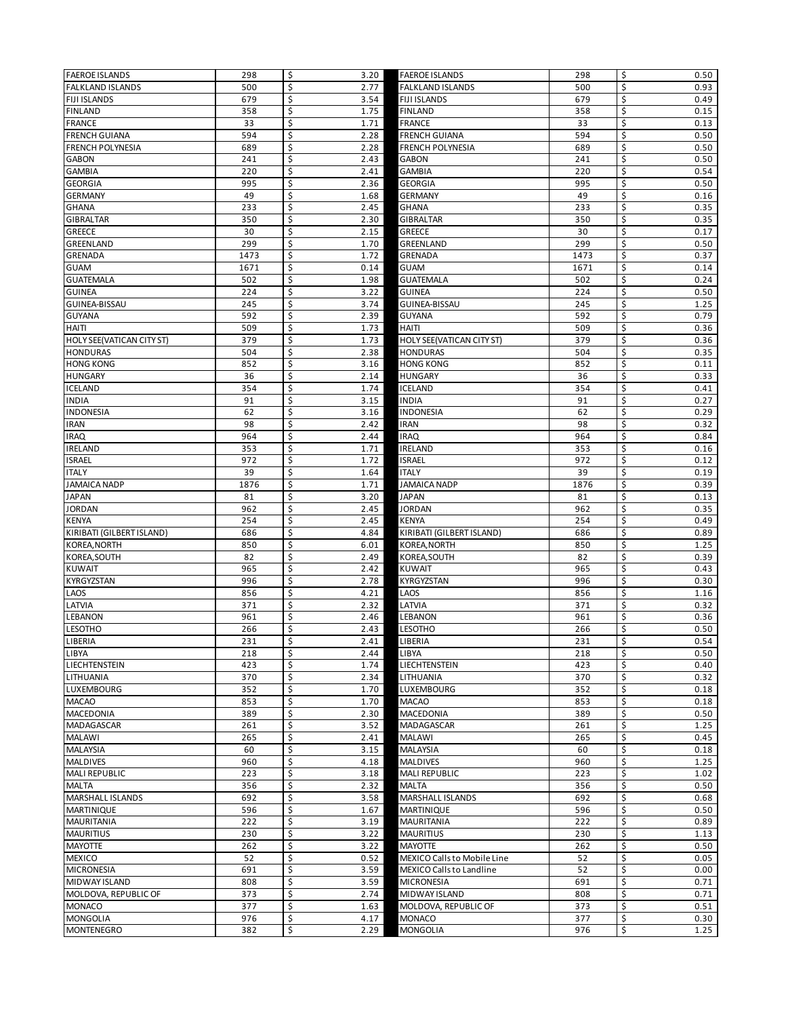| <b>FAEROE ISLANDS</b>            | 298  | \$<br>3.20 | <b>FAEROE ISLANDS</b>            | 298  | \$<br>0.50       |
|----------------------------------|------|------------|----------------------------------|------|------------------|
| <b>FALKLAND ISLANDS</b>          | 500  | \$<br>2.77 | FALKLAND ISLANDS                 | 500  | \$<br>0.93       |
| <b>FIJI ISLANDS</b>              | 679  | \$<br>3.54 | <b>FIJI ISLANDS</b>              | 679  | \$<br>0.49       |
| <b>FINLAND</b>                   | 358  | \$<br>1.75 | <b>FINLAND</b>                   | 358  | \$<br>0.15       |
| <b>FRANCE</b>                    | 33   | \$<br>1.71 | <b>FRANCE</b>                    | 33   | \$<br>0.13       |
| <b>FRENCH GUIANA</b>             | 594  | \$<br>2.28 | <b>FRENCH GUIANA</b>             | 594  | \$<br>0.50       |
| <b>FRENCH POLYNESIA</b>          | 689  | \$<br>2.28 | <b>FRENCH POLYNESIA</b>          | 689  | \$<br>0.50       |
| <b>GABON</b>                     | 241  | \$<br>2.43 | <b>GABON</b>                     | 241  | \$<br>0.50       |
| <b>GAMBIA</b>                    | 220  | \$<br>2.41 | <b>GAMBIA</b>                    | 220  | \$<br>0.54       |
| <b>GEORGIA</b>                   | 995  | \$<br>2.36 | <b>GEORGIA</b>                   | 995  | \$<br>0.50       |
| <b>GERMANY</b>                   | 49   | \$<br>1.68 | <b>GERMANY</b>                   | 49   | \$<br>0.16       |
| <b>GHANA</b>                     | 233  | \$<br>2.45 | <b>GHANA</b>                     | 233  | \$<br>0.35       |
| GIBRALTAR                        | 350  | \$<br>2.30 | <b>GIBRALTAR</b>                 | 350  | \$<br>0.35       |
| <b>GREECE</b>                    | 30   | \$<br>2.15 | GREECE                           | 30   | \$<br>0.17       |
| GREENLAND                        | 299  | \$<br>1.70 | GREENLAND                        | 299  | \$<br>0.50       |
| GRENADA                          | 1473 | \$<br>1.72 | GRENADA                          | 1473 | \$<br>0.37       |
| <b>GUAM</b>                      | 1671 | \$<br>0.14 | <b>GUAM</b>                      | 1671 | \$<br>0.14       |
| <b>GUATEMALA</b>                 | 502  | \$<br>1.98 | <b>GUATEMALA</b>                 | 502  | \$<br>0.24       |
| <b>GUINEA</b>                    | 224  | \$<br>3.22 | <b>GUINEA</b>                    | 224  | \$<br>0.50       |
|                                  | 245  | \$         |                                  | 245  | \$               |
| GUINEA-BISSAU                    |      | 3.74       | GUINEA-BISSAU                    |      | 1.25             |
| GUYANA                           | 592  | \$<br>2.39 | GUYANA                           | 592  | \$<br>0.79       |
| HAITI                            | 509  | \$<br>1.73 | HAITI                            | 509  | \$<br>0.36       |
| <b>HOLY SEE(VATICAN CITY ST)</b> | 379  | \$<br>1.73 | HOLY SEE(VATICAN CITY ST)        | 379  | \$<br>0.36       |
| <b>HONDURAS</b>                  | 504  | \$<br>2.38 | <b>HONDURAS</b>                  | 504  | \$<br>0.35       |
| <b>HONG KONG</b>                 | 852  | \$<br>3.16 | <b>HONG KONG</b>                 | 852  | \$<br>0.11       |
| <b>HUNGARY</b>                   | 36   | \$<br>2.14 | <b>HUNGARY</b>                   | 36   | \$<br>0.33       |
| <b>ICELAND</b>                   | 354  | \$<br>1.74 | <b>ICELAND</b>                   | 354  | \$<br>0.41       |
| <b>INDIA</b>                     | 91   | \$<br>3.15 | <b>INDIA</b>                     | 91   | \$<br>0.27       |
| <b>INDONESIA</b>                 | 62   | \$<br>3.16 | INDONESIA                        | 62   | \$<br>0.29       |
| <b>IRAN</b>                      | 98   | \$<br>2.42 | <b>IRAN</b>                      | 98   | \$<br>0.32       |
| <b>IRAQ</b>                      | 964  | \$<br>2.44 | <b>IRAQ</b>                      | 964  | \$<br>0.84       |
| <b>IRELAND</b>                   | 353  | \$<br>1.71 | IRELAND                          | 353  | \$<br>0.16       |
| <b>ISRAEL</b>                    | 972  | \$<br>1.72 | <b>ISRAEL</b>                    | 972  | \$<br>0.12       |
| <b>ITALY</b>                     | 39   | \$<br>1.64 | <b>ITALY</b>                     | 39   | \$<br>0.19       |
| <b>JAMAICA NADP</b>              | 1876 | \$<br>1.71 | <b>JAMAICA NADP</b>              | 1876 | \$<br>0.39       |
| <b>JAPAN</b>                     | 81   | \$<br>3.20 | <b>JAPAN</b>                     | 81   | \$<br>0.13       |
| <b>JORDAN</b>                    | 962  | \$<br>2.45 | <b>JORDAN</b>                    | 962  | \$<br>0.35       |
| <b>KENYA</b>                     | 254  | \$<br>2.45 | <b>KENYA</b>                     | 254  | \$<br>0.49       |
| KIRIBATI (GILBERT ISLAND)        | 686  | \$<br>4.84 | KIRIBATI (GILBERT ISLAND)        | 686  | \$<br>0.89       |
| KOREA, NORTH                     | 850  | \$<br>6.01 | KOREA, NORTH                     | 850  | \$<br>1.25       |
| KOREA, SOUTH                     | 82   | \$<br>2.49 | KOREA, SOUTH                     | 82   | \$<br>0.39       |
| <b>KUWAIT</b>                    | 965  | \$<br>2.42 | <b>KUWAIT</b>                    | 965  | \$<br>0.43       |
| KYRGYZSTAN                       | 996  | \$<br>2.78 | KYRGYZSTAN                       | 996  | \$<br>0.30       |
| LAOS                             | 856  | \$<br>4.21 | LAOS                             | 856  | \$<br>1.16       |
| LATVIA                           | 371  | \$<br>2.32 | LATVIA                           | 371  | \$<br>0.32       |
| LEBANON                          | 961  | \$<br>2.46 | LEBANON                          | 961  | \$<br>0.36       |
| <b>LESOTHO</b>                   | 266  | \$<br>2.43 | <b>LESOTHO</b>                   | 266  | \$<br>0.50       |
| LIBERIA                          | 231  | \$<br>2.41 | LIBERIA                          | 231  | \$<br>0.54       |
| LIBYA                            | 218  | \$<br>2.44 | LIBYA                            | 218  | \$<br>0.50       |
|                                  |      |            |                                  |      |                  |
| LIECHTENSTEIN<br>LITHUANIA       | 423  | \$<br>1.74 | LIECHTENSTEIN                    | 423  | \$<br>0.40<br>\$ |
|                                  | 370  | \$<br>2.34 | LITHUANIA                        | 370  | 0.32             |
| LUXEMBOURG                       | 352  | \$<br>1.70 | LUXEMBOURG                       | 352  | \$<br>0.18       |
| <b>MACAO</b>                     | 853  | \$<br>1.70 | <b>MACAO</b><br><b>MACEDONIA</b> | 853  | \$<br>0.18       |
| MACEDONIA                        | 389  | \$<br>2.30 |                                  | 389  | \$<br>0.50       |
| MADAGASCAR                       | 261  | \$<br>3.52 | MADAGASCAR                       | 261  | \$<br>1.25       |
| MALAWI                           | 265  | \$<br>2.41 | <b>MALAWI</b>                    | 265  | \$<br>0.45       |
| MALAYSIA                         | 60   | \$<br>3.15 | MALAYSIA                         | 60   | \$<br>0.18       |
| <b>MALDIVES</b>                  | 960  | \$<br>4.18 | <b>MALDIVES</b>                  | 960  | \$<br>1.25       |
| <b>MALI REPUBLIC</b>             | 223  | \$<br>3.18 | MALI REPUBLIC                    | 223  | \$<br>1.02       |
| MALTA                            | 356  | \$<br>2.32 | <b>MALTA</b>                     | 356  | \$<br>0.50       |
| <b>MARSHALL ISLANDS</b>          | 692  | \$<br>3.58 | MARSHALL ISLANDS                 | 692  | \$<br>0.68       |
| <b>MARTINIQUE</b>                | 596  | \$<br>1.67 | MARTINIQUE                       | 596  | \$<br>0.50       |
| <b>MAURITANIA</b>                | 222  | \$<br>3.19 | <b>MAURITANIA</b>                | 222  | \$<br>0.89       |
| <b>MAURITIUS</b>                 | 230  | \$<br>3.22 | <b>MAURITIUS</b>                 | 230  | \$<br>1.13       |
| <b>MAYOTTE</b>                   | 262  | \$<br>3.22 | MAYOTTE                          | 262  | \$<br>0.50       |
| <b>MEXICO</b>                    | 52   | \$<br>0.52 | MEXICO Calls to Mobile Line      | 52   | \$<br>0.05       |
| <b>MICRONESIA</b>                | 691  | \$<br>3.59 | MEXICO Calls to Landline         | 52   | \$<br>0.00       |
| <b>MIDWAY ISLAND</b>             | 808  | \$<br>3.59 | <b>MICRONESIA</b>                | 691  | \$<br>0.71       |
| MOLDOVA, REPUBLIC OF             | 373  | \$<br>2.74 | MIDWAY ISLAND                    | 808  | \$<br>0.71       |
| <b>MONACO</b>                    | 377  | \$<br>1.63 | MOLDOVA, REPUBLIC OF             | 373  | \$<br>0.51       |
| <b>MONGOLIA</b>                  | 976  | \$<br>4.17 | <b>MONACO</b>                    | 377  | \$<br>0.30       |
| <b>MONTENEGRO</b>                | 382  | \$<br>2.29 | <b>MONGOLIA</b>                  | 976  | \$<br>1.25       |
|                                  |      |            |                                  |      |                  |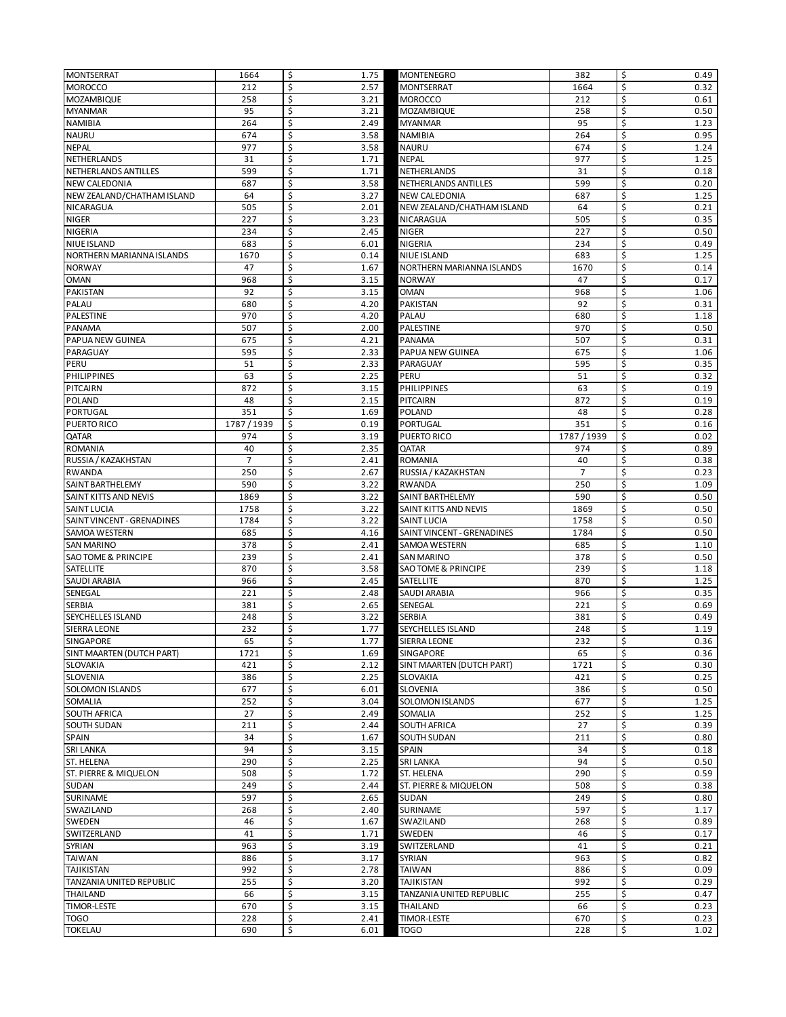| <b>MONTSERRAT</b>                        | 1664           | \$<br>1.75               | <b>MONTENEGRO</b>                           | 382            | \$<br>0.49               |
|------------------------------------------|----------------|--------------------------|---------------------------------------------|----------------|--------------------------|
| <b>MOROCCO</b>                           | 212            | \$<br>2.57               | <b>MONTSERRAT</b>                           | 1664           | \$<br>0.32               |
| MOZAMBIQUE                               | 258            | \$<br>3.21               | <b>MOROCCO</b>                              | 212            | \$<br>0.61               |
| <b>MYANMAR</b>                           | 95             | \$<br>3.21               | <b>MOZAMBIQUE</b>                           | 258            | \$<br>0.50               |
| NAMIBIA                                  | 264            | \$<br>2.49<br>\$         | <b>MYANMAR</b>                              | 95             | \$<br>1.23<br>\$         |
| <b>NAURU</b><br><b>NEPAL</b>             | 674<br>977     | 3.58<br>\$<br>3.58       | <b>NAMIBIA</b><br><b>NAURU</b>              | 264<br>674     | 0.95<br>\$<br>1.24       |
| <b>NETHERLANDS</b>                       | 31             | \$<br>1.71               | <b>NEPAL</b>                                | 977            | \$<br>1.25               |
| NETHERLANDS ANTILLES                     | 599            | \$<br>1.71               | NETHERLANDS                                 | 31             | \$<br>0.18               |
| NEW CALEDONIA                            | 687            | \$<br>3.58               | NETHERLANDS ANTILLES                        | 599            | \$<br>0.20               |
| NEW ZEALAND/CHATHAM ISLAND               | 64             | \$<br>3.27               | NEW CALEDONIA                               | 687            | \$<br>1.25               |
| NICARAGUA                                | 505            | \$<br>2.01               | NEW ZEALAND/CHATHAM ISLAND                  | 64             | \$<br>0.21               |
| <b>NIGER</b>                             | 227            | \$<br>3.23               | NICARAGUA                                   | 505            | \$<br>0.35               |
| <b>NIGERIA</b>                           | 234            | \$<br>2.45               | <b>NIGER</b>                                | 227            | \$<br>0.50               |
| NIUE ISLAND                              | 683            | \$<br>6.01               | <b>NIGERIA</b>                              | 234            | \$<br>0.49               |
| NORTHERN MARIANNA ISLANDS                | 1670           | \$<br>0.14               | NIUE ISLAND                                 | 683            | \$<br>1.25               |
| <b>NORWAY</b>                            | 47             | \$<br>1.67               | NORTHERN MARIANNA ISLANDS                   | 1670           | \$<br>0.14               |
| <b>OMAN</b>                              | 968            | \$<br>3.15               | <b>NORWAY</b>                               | 47             | \$<br>0.17               |
| PAKISTAN                                 | 92             | \$<br>3.15               | <b>OMAN</b>                                 | 968            | \$<br>1.06               |
| PALAU                                    | 680            | \$<br>4.20               | PAKISTAN                                    | 92             | \$<br>0.31               |
| PALESTINE                                | 970            | \$<br>4.20               | PALAU                                       | 680            | \$<br>1.18               |
| <b>PANAMA</b><br><b>PAPUA NEW GUINEA</b> | 507            | \$<br>2.00               | PALESTINE                                   | 970            | \$<br>0.50               |
| PARAGUAY                                 | 675<br>595     | \$<br>4.21<br>\$<br>2.33 | PANAMA<br>PAPUA NEW GUINEA                  | 507<br>675     | \$<br>0.31<br>\$<br>1.06 |
| PERU                                     | 51             | \$<br>2.33               | PARAGUAY                                    | 595            | \$<br>0.35               |
| PHILIPPINES                              | 63             | \$<br>2.25               | PERU                                        | 51             | \$<br>0.32               |
| PITCAIRN                                 | 872            | \$<br>3.15               | <b>PHILIPPINES</b>                          | 63             | \$<br>0.19               |
| <b>POLAND</b>                            | 48             | \$<br>2.15               | PITCAIRN                                    | 872            | \$<br>0.19               |
| PORTUGAL                                 | 351            | \$<br>1.69               | <b>POLAND</b>                               | 48             | \$<br>0.28               |
| PUERTO RICO                              | 1787/1939      | \$<br>0.19               | PORTUGAL                                    | 351            | \$<br>0.16               |
| QATAR                                    | 974            | \$<br>3.19               | PUERTO RICO                                 | 1787/1939      | Ś<br>0.02                |
| <b>ROMANIA</b>                           | 40             | \$<br>2.35               | QATAR                                       | 974            | \$<br>0.89               |
| RUSSIA / KAZAKHSTAN                      | $\overline{7}$ | \$<br>2.41               | <b>ROMANIA</b>                              | 40             | \$<br>0.38               |
| <b>RWANDA</b>                            | 250            | \$<br>2.67               | RUSSIA / KAZAKHSTAN                         | $\overline{7}$ | \$<br>0.23               |
| SAINT BARTHELEMY                         | 590            | \$<br>3.22               | <b>RWANDA</b>                               | 250            | \$<br>1.09               |
| SAINT KITTS AND NEVIS                    | 1869           | \$<br>3.22               | SAINT BARTHELEMY                            | 590            | \$<br>0.50               |
| <b>SAINT LUCIA</b>                       | 1758           | \$<br>3.22               | SAINT KITTS AND NEVIS                       | 1869           | \$<br>0.50               |
| SAINT VINCENT - GRENADINES               | 1784           | \$<br>3.22               | SAINT LUCIA                                 | 1758           | \$<br>0.50<br>\$         |
| SAMOA WESTERN<br><b>SAN MARINO</b>       | 685<br>378     | \$<br>4.16<br>\$<br>2.41 | SAINT VINCENT - GRENADINES<br>SAMOA WESTERN | 1784<br>685    | 0.50<br>\$<br>1.10       |
| SAO TOME & PRINCIPE                      | 239            | \$<br>2.41               | SAN MARINO                                  | 378            | \$<br>0.50               |
| SATELLITE                                | 870            | \$<br>3.58               | <b>SAO TOME &amp; PRINCIPE</b>              | 239            | \$<br>1.18               |
| SAUDI ARABIA                             | 966            | \$<br>2.45               | SATELLITE                                   | 870            | \$<br>1.25               |
| SENEGAL                                  | 221            | \$<br>2.48               | SAUDI ARABIA                                | 966            | \$<br>0.35               |
| <b>SERBIA</b>                            | 381            | \$<br>2.65               | SENEGAL                                     | 221            | \$<br>0.69               |
| SEYCHELLES ISLAND                        | 248            | \$<br>3.22               | <b>SERBIA</b>                               | 381            | \$<br>0.49               |
| <b>SIERRA LEONE</b>                      | 232            | \$<br>1.77               | <b>SEYCHELLES ISLAND</b>                    | 248            | \$<br>1.19               |
| SINGAPORE                                | 65             | Ś<br>1.77                | SIERRA LEONE                                | 232            | \$<br>0.36               |
| SINT MAARTEN (DUTCH PART)                | 1721           | \$<br>1.69               | SINGAPORE                                   | 65             | \$<br>0.36               |
| SLOVAKIA                                 | 421            | \$<br>2.12               | SINT MAARTEN (DUTCH PART)                   | 1721           | \$<br>0.30               |
| SLOVENIA                                 | 386            | \$<br>2.25               | SLOVAKIA                                    | 421            | \$<br>0.25               |
| <b>SOLOMON ISLANDS</b><br><b>SOMALIA</b> | 677<br>252     | \$<br>6.01<br>\$         | SLOVENIA                                    | 386<br>677     | \$<br>0.50<br>\$         |
| <b>SOUTH AFRICA</b>                      | 27             | 3.04<br>\$<br>2.49       | SOLOMON ISLANDS<br>SOMALIA                  | 252            | 1.25<br>\$<br>1.25       |
| <b>SOUTH SUDAN</b>                       | 211            | \$<br>2.44               | SOUTH AFRICA                                | 27             | \$<br>0.39               |
| <b>SPAIN</b>                             | 34             | \$<br>1.67               | SOUTH SUDAN                                 | 211            | \$<br>0.80               |
| <b>SRI LANKA</b>                         | 94             | \$<br>3.15               | SPAIN                                       | 34             | \$<br>0.18               |
| ST. HELENA                               | 290            | \$<br>2.25               | <b>SRI LANKA</b>                            | 94             | \$<br>0.50               |
| ST. PIERRE & MIQUELON                    | 508            | \$<br>1.72               | ST. HELENA                                  | 290            | \$<br>0.59               |
| SUDAN                                    | 249            | \$<br>2.44               | ST. PIERRE & MIQUELON                       | 508            | \$<br>0.38               |
| <b>SURINAME</b>                          | 597            | \$<br>2.65               | SUDAN                                       | 249            | \$<br>0.80               |
| SWAZILAND                                | 268            | \$<br>2.40               | SURINAME                                    | 597            | \$<br>1.17               |
| SWEDEN                                   | 46             | \$<br>1.67               | SWAZILAND                                   | 268            | \$<br>0.89               |
| SWITZERLAND                              | 41             | \$<br>1.71               | SWEDEN                                      | 46             | \$<br>0.17               |
| SYRIAN                                   | 963            | \$<br>3.19               | SWITZERLAND                                 | 41             | \$<br>0.21               |
| <b>TAIWAN</b>                            | 886            | \$<br>3.17               | SYRIAN                                      | 963            | \$<br>0.82               |
| TAJIKISTAN                               | 992            | \$<br>2.78               | <b>TAIWAN</b>                               | 886            | \$<br>0.09               |
| TANZANIA UNITED REPUBLIC                 | 255            | \$<br>3.20               | <b>TAJIKISTAN</b>                           | 992            | \$<br>0.29               |
| <b>THAILAND</b>                          | 66<br>670      | \$<br>3.15<br>\$<br>3.15 | TANZANIA UNITED REPUBLIC                    | 255            | \$<br>0.47<br>\$         |
| TIMOR-LESTE<br><b>TOGO</b>               | 228            | \$<br>2.41               | THAILAND<br>TIMOR-LESTE                     | 66<br>670      | 0.23<br>\$<br>0.23       |
| <b>TOKELAU</b>                           | 690            | \$<br>6.01               | <b>TOGO</b>                                 | 228            | \$<br>1.02               |
|                                          |                |                          |                                             |                |                          |